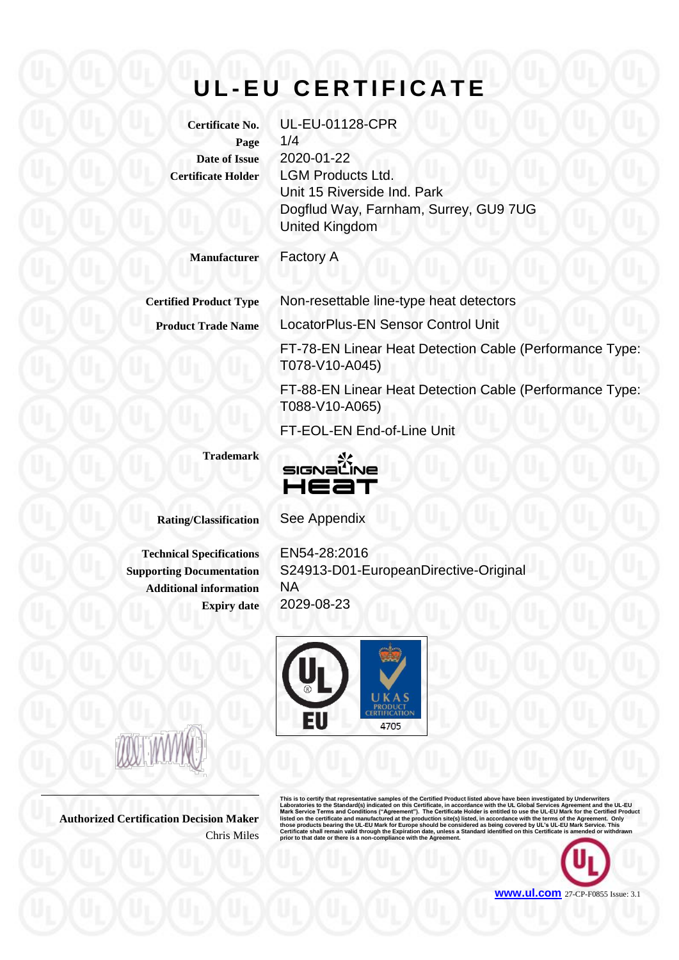# **U L - E U C E R T I F I C A T E**

**Certificate No.** UL-EU-01128-CPR **Page** 1/4 **Date of Issue** 2020-01-22 **Certificate Holder** LGM Products Ltd.

Unit 15 Riverside Ind. Park Dogflud Way, Farnham, Surrey, GU9 7UG United Kingdom

**Manufacturer** Factory A

**Certified Product Type** Non-resettable line-type heat detectors

**Product Trade Name** LocatorPlus-EN Sensor Control Unit

FT-78-EN Linear Heat Detection Cable (Performance Type: T078-V10-A045)

FT-88-EN Linear Heat Detection Cable (Performance Type: T088-V10-A065)

FT-EOL-EN End-of-Line Unit

**Trademark**



**Rating/Classification** See Appendix

**Additional information** NA

**Technical Specifications** EN54-28:2016 **Supporting Documentation** S24913-D01-EuropeanDirective-Original **Expiry date** 2029-08-23



**Authorized Certification Decision Maker** Chris Miles

This is to certify that representative samples of the Certified Product listed above have been investigated by Underwriters<br>Laboratories to the Standard(s) indicated on this Certificate, in accordance with the UL Global Se

**[www.ul.com](http://www.ul.com/)** 27-CP-F0855 Issue: 3.1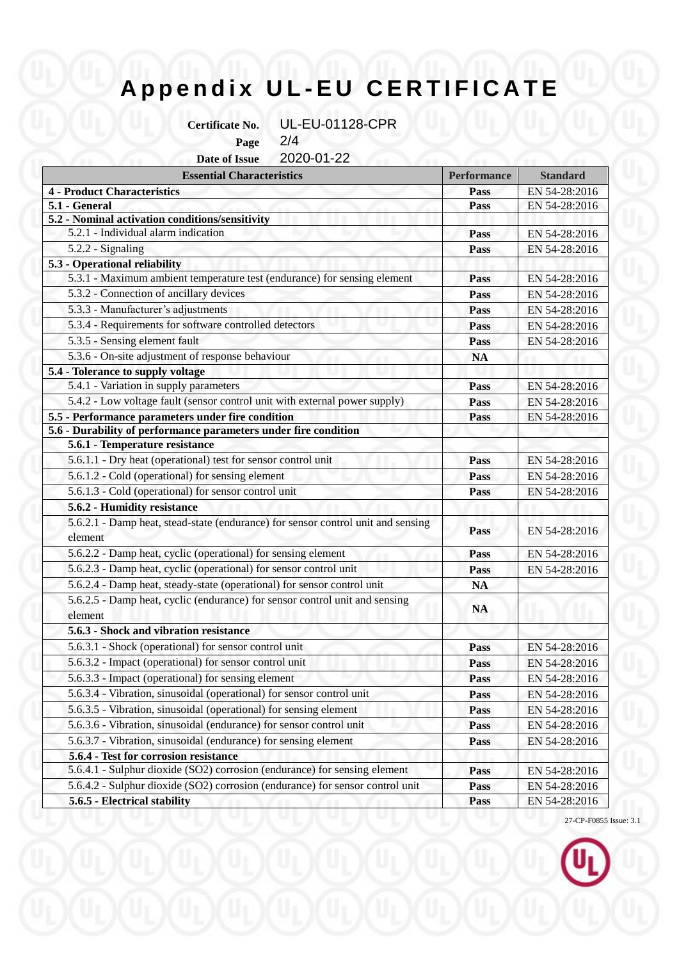## **A p p e n d i x U L - E U C E R T I F I C A T E**

**Certificate No.** UL-EU-01128-CPR

**Page** 2/4

**Date of Issue** 2020-01-22

| <b>Essential Characteristics</b>                                                       | <b>Performance</b> | <b>Standard</b> |
|----------------------------------------------------------------------------------------|--------------------|-----------------|
| <b>4 - Product Characteristics</b>                                                     | Pass               | EN 54-28:2016   |
| 5.1 - General                                                                          | Pass               | EN 54-28:2016   |
| 5.2 - Nominal activation conditions/sensitivity                                        |                    |                 |
| 5.2.1 - Individual alarm indication                                                    | Pass               | EN 54-28:2016   |
| 5.2.2 - Signaling                                                                      | Pass               | EN 54-28:2016   |
| 5.3 - Operational reliability                                                          |                    |                 |
| 5.3.1 - Maximum ambient temperature test (endurance) for sensing element               | Pass               | EN 54-28:2016   |
| 5.3.2 - Connection of ancillary devices                                                | Pass               | EN 54-28:2016   |
| 5.3.3 - Manufacturer's adjustments                                                     | Pass               | EN 54-28:2016   |
| 5.3.4 - Requirements for software controlled detectors                                 | <b>Pass</b>        | EN 54-28:2016   |
| 5.3.5 - Sensing element fault                                                          | Pass               | EN 54-28:2016   |
| 5.3.6 - On-site adjustment of response behaviour                                       | <b>NA</b>          |                 |
| 5.4 - Tolerance to supply voltage                                                      |                    |                 |
| 5.4.1 - Variation in supply parameters                                                 | Pass               | EN 54-28:2016   |
| 5.4.2 - Low voltage fault (sensor control unit with external power supply)             | Pass               | EN 54-28:2016   |
| 5.5 - Performance parameters under fire condition                                      | <b>Pass</b>        | EN 54-28:2016   |
| 5.6 - Durability of performance parameters under fire condition                        |                    |                 |
| 5.6.1 - Temperature resistance                                                         |                    |                 |
| 5.6.1.1 - Dry heat (operational) test for sensor control unit                          | Pass               | EN 54-28:2016   |
| 5.6.1.2 - Cold (operational) for sensing element                                       | Pass               | EN 54-28:2016   |
| 5.6.1.3 - Cold (operational) for sensor control unit                                   | <b>Pass</b>        | EN 54-28:2016   |
| 5.6.2 - Humidity resistance                                                            |                    |                 |
| 5.6.2.1 - Damp heat, stead-state (endurance) for sensor control unit and sensing       | Pass               | EN 54-28:2016   |
| element                                                                                |                    |                 |
| 5.6.2.2 - Damp heat, cyclic (operational) for sensing element                          | Pass               | EN 54-28:2016   |
| 5.6.2.3 - Damp heat, cyclic (operational) for sensor control unit                      | Pass               | EN 54-28:2016   |
| 5.6.2.4 - Damp heat, steady-state (operational) for sensor control unit                | <b>NA</b>          |                 |
| 5.6.2.5 - Damp heat, cyclic (endurance) for sensor control unit and sensing<br>element | <b>NA</b>          |                 |
| 5.6.3 - Shock and vibration resistance                                                 |                    |                 |
| 5.6.3.1 - Shock (operational) for sensor control unit                                  | Pass               | EN 54-28:2016   |
| 5.6.3.2 - Impact (operational) for sensor control unit                                 | Pass               | EN 54-28:2016   |
| 5.6.3.3 - Impact (operational) for sensing element                                     | <b>Pass</b>        | EN 54-28:2016   |
| 5.6.3.4 - Vibration, sinusoidal (operational) for sensor control unit                  | Pass               | EN 54-28:2016   |
| 5.6.3.5 - Vibration, sinusoidal (operational) for sensing element                      | <b>Pass</b>        | EN 54-28:2016   |
| 5.6.3.6 - Vibration, sinusoidal (endurance) for sensor control unit                    | Pass               | EN 54-28:2016   |
| 5.6.3.7 - Vibration, sinusoidal (endurance) for sensing element                        | Pass               | EN 54-28:2016   |
| 5.6.4 - Test for corrosion resistance                                                  |                    |                 |
| 5.6.4.1 - Sulphur dioxide (SO2) corrosion (endurance) for sensing element              | <b>Pass</b>        | EN 54-28:2016   |
| 5.6.4.2 - Sulphur dioxide (SO2) corrosion (endurance) for sensor control unit          | <b>Pass</b>        | EN 54-28:2016   |
| 5.6.5 - Electrical stability                                                           | Pass               | EN 54-28:2016   |

27-CP-F0855 Issue: 3.1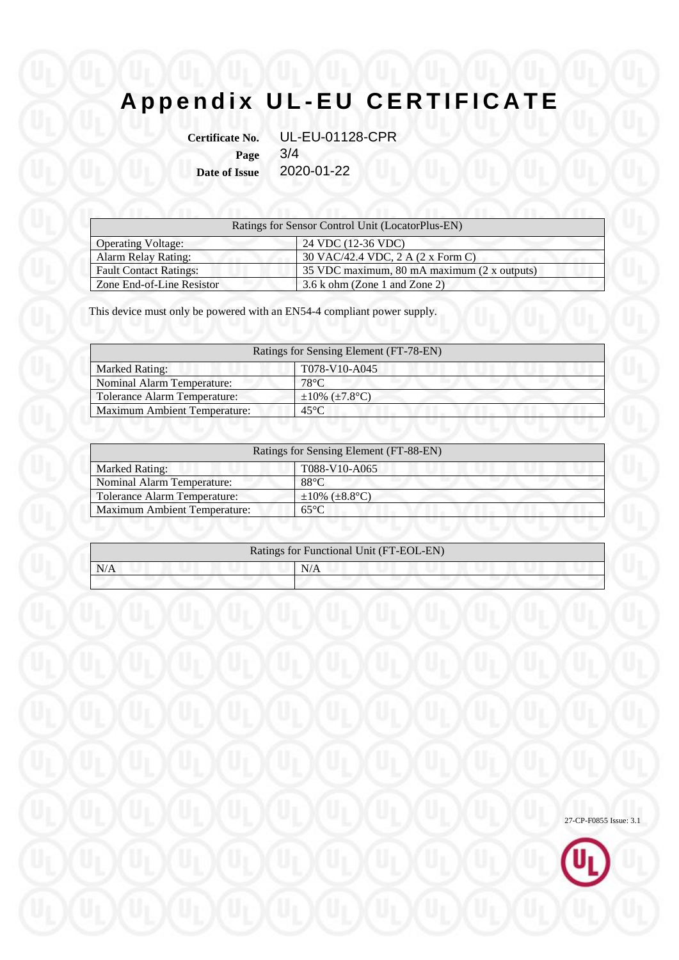## **A p p e n d i x U L - E U C E R T I F I C A T E**

**Certificate No.** UL-EU-01128-CPR **Page** 3/4 **Date of Issue** 2020-01-22

| Ratings for Sensor Control Unit (LocatorPlus-EN) |                                             |  |
|--------------------------------------------------|---------------------------------------------|--|
| <b>Operating Voltage:</b>                        | 24 VDC (12-36 VDC)                          |  |
| <b>Alarm Relay Rating:</b>                       | 30 VAC/42.4 VDC, 2 A (2 x Form C)           |  |
| <b>Fault Contact Ratings:</b>                    | 35 VDC maximum, 80 mA maximum (2 x outputs) |  |
| Zone End-of-Line Resistor                        | $3.6 \text{ k}$ ohm (Zone 1 and Zone 2)     |  |

This device must only be powered with an EN54-4 compliant power supply.

| Ratings for Sensing Element (FT-78-EN) |                            |  |  |  |
|----------------------------------------|----------------------------|--|--|--|
| <b>Marked Rating:</b>                  | T078-V10-A045              |  |  |  |
| <b>Nominal Alarm Temperature:</b>      | $78^{\circ}$ C             |  |  |  |
| Tolerance Alarm Temperature:           | $\pm 10\%$ ( $\pm 7.8$ °C) |  |  |  |
| <b>Maximum Ambient Temperature:</b>    | $45^{\circ}$ C.            |  |  |  |

| Ratings for Sensing Element (FT-88-EN) |                            |  |  |
|----------------------------------------|----------------------------|--|--|
| <b>Marked Rating:</b>                  | T088-V10-A065              |  |  |
| <b>Nominal Alarm Temperature:</b>      | $88^{\circ}$ C             |  |  |
| <b>Tolerance Alarm Temperature:</b>    | $\pm 10\%$ ( $\pm 8.8$ °C) |  |  |
| <b>Maximum Ambient Temperature:</b>    | $65^{\circ}$ C             |  |  |

| Ratings for Functional Unit (FT-EOL-EN) |     |  |  |
|-----------------------------------------|-----|--|--|
| N/A                                     | N/A |  |  |
|                                         |     |  |  |

27-CP-F0855 Issue: 3.1